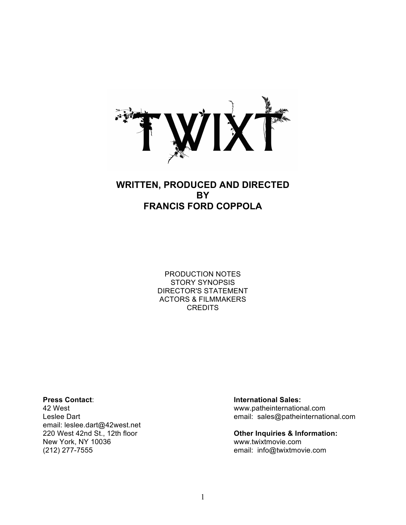

## **WRITTEN, PRODUCED AND DIRECTED BY FRANCIS FORD COPPOLA**

PRODUCTION NOTES STORY SYNOPSIS DIRECTOR'S STATEMENT ACTORS & FILMMAKERS **CREDITS** 

email: leslee.dart@42west.net 220 West 42nd St., 12th floor **Other Inquiries & Information:** New York, NY 10036 www.twixtmovie.com (212) 277-7555 email: info@twixtmovie.com

#### **Press Contact**: **International Sales:**

42 West www.patheinternational.com Leslee Dart **Example 2018** Contract email: sales@patheinternational.com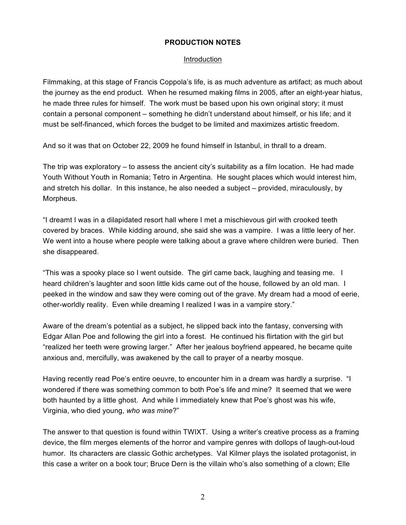#### **PRODUCTION NOTES**

#### Introduction

Filmmaking, at this stage of Francis Coppola's life, is as much adventure as artifact; as much about the journey as the end product. When he resumed making films in 2005, after an eight-year hiatus, he made three rules for himself. The work must be based upon his own original story; it must contain a personal component – something he didn't understand about himself, or his life; and it must be self-financed, which forces the budget to be limited and maximizes artistic freedom.

And so it was that on October 22, 2009 he found himself in Istanbul, in thrall to a dream.

The trip was exploratory – to assess the ancient city's suitability as a film location. He had made Youth Without Youth in Romania; Tetro in Argentina. He sought places which would interest him, and stretch his dollar. In this instance, he also needed a subject – provided, miraculously, by Morpheus.

"I dreamt I was in a dilapidated resort hall where I met a mischievous girl with crooked teeth covered by braces. While kidding around, she said she was a vampire. I was a little leery of her. We went into a house where people were talking about a grave where children were buried. Then she disappeared.

"This was a spooky place so I went outside. The girl came back, laughing and teasing me. I heard children's laughter and soon little kids came out of the house, followed by an old man. I peeked in the window and saw they were coming out of the grave. My dream had a mood of eerie, other-worldly reality. Even while dreaming I realized I was in a vampire story."

Aware of the dream's potential as a subject, he slipped back into the fantasy, conversing with Edgar Allan Poe and following the girl into a forest. He continued his flirtation with the girl but "realized her teeth were growing larger." After her jealous boyfriend appeared, he became quite anxious and, mercifully, was awakened by the call to prayer of a nearby mosque.

Having recently read Poe's entire oeuvre, to encounter him in a dream was hardly a surprise. "I wondered if there was something common to both Poe's life and mine? It seemed that we were both haunted by a little ghost. And while I immediately knew that Poe's ghost was his wife, Virginia, who died young, *who was mine*?"

The answer to that question is found within TWIXT. Using a writer's creative process as a framing device, the film merges elements of the horror and vampire genres with dollops of laugh-out-loud humor. Its characters are classic Gothic archetypes. Val Kilmer plays the isolated protagonist, in this case a writer on a book tour; Bruce Dern is the villain who's also something of a clown; Elle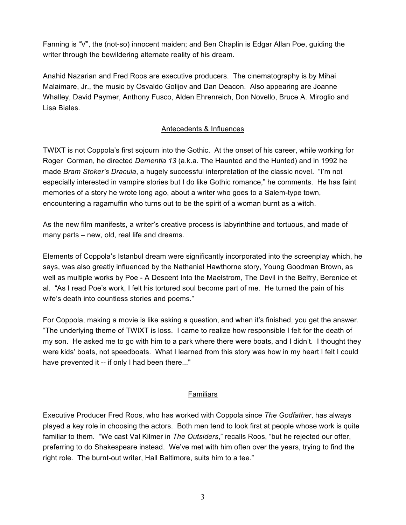Fanning is "V", the (not-so) innocent maiden; and Ben Chaplin is Edgar Allan Poe, guiding the writer through the bewildering alternate reality of his dream.

Anahid Nazarian and Fred Roos are executive producers. The cinematography is by Mihai Malaimare, Jr., the music by Osvaldo Golijov and Dan Deacon. Also appearing are Joanne Whalley, David Paymer, Anthony Fusco, Alden Ehrenreich, Don Novello, Bruce A. Miroglio and Lisa Biales.

### Antecedents & Influences

TWIXT is not Coppola's first sojourn into the Gothic. At the onset of his career, while working for Roger Corman, he directed *Dementia 13* (a.k.a. The Haunted and the Hunted) and in 1992 he made *Bram Stoker's Dracula*, a hugely successful interpretation of the classic novel. "I'm not especially interested in vampire stories but I do like Gothic romance," he comments. He has faint memories of a story he wrote long ago, about a writer who goes to a Salem-type town, encountering a ragamuffin who turns out to be the spirit of a woman burnt as a witch.

As the new film manifests, a writer's creative process is labyrinthine and tortuous, and made of many parts – new, old, real life and dreams.

Elements of Coppola's Istanbul dream were significantly incorporated into the screenplay which, he says, was also greatly influenced by the Nathaniel Hawthorne story, Young Goodman Brown, as well as multiple works by Poe - A Descent Into the Maelstrom, The Devil in the Belfry, Berenice et al. "As I read Poe's work, I felt his tortured soul become part of me. He turned the pain of his wife's death into countless stories and poems."

For Coppola, making a movie is like asking a question, and when it's finished, you get the answer. "The underlying theme of TWIXT is loss. I came to realize how responsible I felt for the death of my son. He asked me to go with him to a park where there were boats, and I didn't. I thought they were kids' boats, not speedboats. What I learned from this story was how in my heart I felt I could have prevented it -- if only I had been there..."

### **Familiars**

Executive Producer Fred Roos, who has worked with Coppola since *The Godfather*, has always played a key role in choosing the actors. Both men tend to look first at people whose work is quite familiar to them. "We cast Val Kilmer in *The Outsiders*," recalls Roos, "but he rejected our offer, preferring to do Shakespeare instead. We've met with him often over the years, trying to find the right role. The burnt-out writer, Hall Baltimore, suits him to a tee."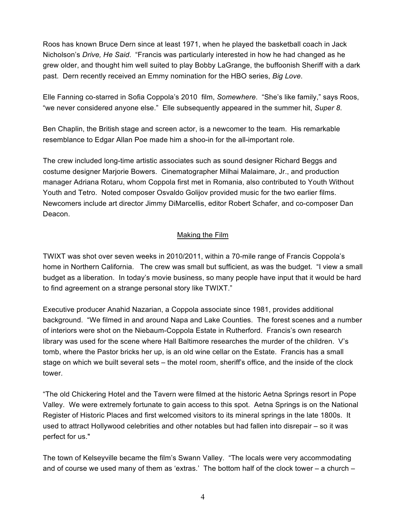Roos has known Bruce Dern since at least 1971, when he played the basketball coach in Jack Nicholson's *Drive, He Said*. "Francis was particularly interested in how he had changed as he grew older, and thought him well suited to play Bobby LaGrange, the buffoonish Sheriff with a dark past. Dern recently received an Emmy nomination for the HBO series, *Big Love*.

Elle Fanning co-starred in Sofia Coppola's 2010 film, *Somewhere*. "She's like family," says Roos, "we never considered anyone else." Elle subsequently appeared in the summer hit, *Super 8*.

Ben Chaplin, the British stage and screen actor, is a newcomer to the team. His remarkable resemblance to Edgar Allan Poe made him a shoo-in for the all-important role.

The crew included long-time artistic associates such as sound designer Richard Beggs and costume designer Marjorie Bowers. Cinematographer Milhai Malaimare, Jr., and production manager Adriana Rotaru, whom Coppola first met in Romania, also contributed to Youth Without Youth and Tetro. Noted composer Osvaldo Golijov provided music for the two earlier films. Newcomers include art director Jimmy DiMarcellis, editor Robert Schafer, and co-composer Dan Deacon.

#### Making the Film

TWIXT was shot over seven weeks in 2010/2011, within a 70-mile range of Francis Coppola's home in Northern California. The crew was small but sufficient, as was the budget. "I view a small budget as a liberation. In today's movie business, so many people have input that it would be hard to find agreement on a strange personal story like TWIXT."

Executive producer Anahid Nazarian, a Coppola associate since 1981, provides additional background. "We filmed in and around Napa and Lake Counties. The forest scenes and a number of interiors were shot on the Niebaum-Coppola Estate in Rutherford. Francis's own research library was used for the scene where Hall Baltimore researches the murder of the children. V's tomb, where the Pastor bricks her up, is an old wine cellar on the Estate. Francis has a small stage on which we built several sets – the motel room, sheriff's office, and the inside of the clock tower.

"The old Chickering Hotel and the Tavern were filmed at the historic Aetna Springs resort in Pope Valley. We were extremely fortunate to gain access to this spot. Aetna Springs is on the National Register of Historic Places and first welcomed visitors to its mineral springs in the late 1800s. It used to attract Hollywood celebrities and other notables but had fallen into disrepair – so it was perfect for us."

The town of Kelseyville became the film's Swann Valley. "The locals were very accommodating and of course we used many of them as 'extras.' The bottom half of the clock tower – a church –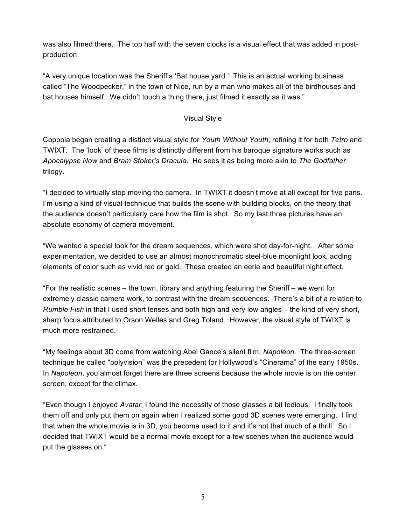was also filmed there. The top half with the seven clocks is a visual effect that was added in postproduction.

"A very unique location was the Sheriff's 'Bat house yard.' This is an actual working business called "The Woodpecker," in the town of Nice, run by a man who makes all of the birdhouses and bat houses himself. We didn't touch a thing there, just filmed it exactly as it was."

### Visual Style

Coppola began creating a distinct visual style for *Youth Without Youth*, refining it for both *Tetro* and TWIXT. The 'look' of these films is distinctly different from his baroque signature works such as *Apocalypse Now* and *Bram Stoker's Dracula*. He sees it as being more akin to *The Godfather*  trilogy.

"I decided to virtually stop moving the camera. In TWIXT it doesn't move at all except for five pans. I'm using a kind of visual technique that builds the scene with building blocks, on the theory that the audience doesn't particularly care how the film is shot. So my last three pictures have an absolute economy of camera movement.

"We wanted a special look for the dream sequences, which were shot day-for-night. After some experimentation, we decided to use an almost monochromatic steel-blue moonlight look, adding elements of color such as vivid red or gold. These created an eerie and beautiful night effect.

"For the realistic scenes – the town, library and anything featuring the Sheriff – we went for extremely classic camera work, to contrast with the dream sequences. There's a bit of a relation to *Rumble Fish* in that I used short lenses and both high and very low angles – the kind of very short, sharp focus attributed to Orson Welles and Greg Toland. However, the visual style of TWIXT is much more restrained.

"My feelings about 3D come from watching Abel Gance's silent film, *Napoleon*. The three-screen technique he called "polyvision" was the precedent for Hollywood's "Cinerama" of the early 1950s. In *Napoleon*, you almost forget there are three screens because the whole movie is on the center screen, except for the climax.

"Even though I enjoyed *Avatar*, I found the necessity of those glasses a bit tedious. I finally took them off and only put them on again when I realized some good 3D scenes were emerging. I find that when the whole movie is in 3D, you become used to it and it's not that much of a thrill. So I decided that TWIXT would be a normal movie except for a few scenes when the audience would put the glasses on."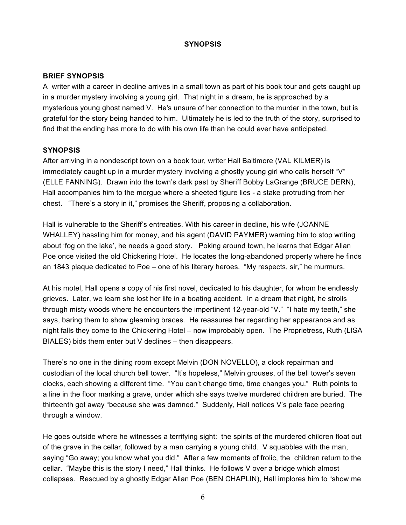#### **SYNOPSIS**

#### **BRIEF SYNOPSIS**

A writer with a career in decline arrives in a small town as part of his book tour and gets caught up in a murder mystery involving a young girl. That night in a dream, he is approached by a mysterious young ghost named V. He's unsure of her connection to the murder in the town, but is grateful for the story being handed to him. Ultimately he is led to the truth of the story, surprised to find that the ending has more to do with his own life than he could ever have anticipated.

#### **SYNOPSIS**

After arriving in a nondescript town on a book tour, writer Hall Baltimore (VAL KILMER) is immediately caught up in a murder mystery involving a ghostly young girl who calls herself "V" (ELLE FANNING). Drawn into the town's dark past by Sheriff Bobby LaGrange (BRUCE DERN), Hall accompanies him to the morgue where a sheeted figure lies - a stake protruding from her chest. "There's a story in it," promises the Sheriff, proposing a collaboration.

Hall is vulnerable to the Sheriff's entreaties. With his career in decline, his wife (JOANNE WHALLEY) hassling him for money, and his agent (DAVID PAYMER) warning him to stop writing about 'fog on the lake', he needs a good story. Poking around town, he learns that Edgar Allan Poe once visited the old Chickering Hotel. He locates the long-abandoned property where he finds an 1843 plaque dedicated to Poe – one of his literary heroes. "My respects, sir," he murmurs.

At his motel, Hall opens a copy of his first novel, dedicated to his daughter, for whom he endlessly grieves. Later, we learn she lost her life in a boating accident. In a dream that night, he strolls through misty woods where he encounters the impertinent 12-year-old "V." "I hate my teeth," she says, baring them to show gleaming braces. He reassures her regarding her appearance and as night falls they come to the Chickering Hotel – now improbably open. The Proprietress, Ruth (LISA BIALES) bids them enter but V declines – then disappears.

There's no one in the dining room except Melvin (DON NOVELLO), a clock repairman and custodian of the local church bell tower. "It's hopeless," Melvin grouses, of the bell tower's seven clocks, each showing a different time. "You can't change time, time changes you." Ruth points to a line in the floor marking a grave, under which she says twelve murdered children are buried. The thirteenth got away "because she was damned." Suddenly, Hall notices V's pale face peering through a window.

He goes outside where he witnesses a terrifying sight: the spirits of the murdered children float out of the grave in the cellar, followed by a man carrying a young child. V squabbles with the man, saying "Go away; you know what you did." After a few moments of frolic, the children return to the cellar. "Maybe this is the story I need," Hall thinks. He follows V over a bridge which almost collapses. Rescued by a ghostly Edgar Allan Poe (BEN CHAPLIN), Hall implores him to "show me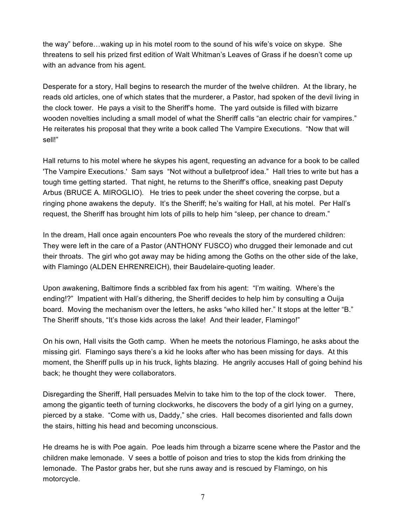the way" before…waking up in his motel room to the sound of his wife's voice on skype. She threatens to sell his prized first edition of Walt Whitman's Leaves of Grass if he doesn't come up with an advance from his agent.

Desperate for a story, Hall begins to research the murder of the twelve children. At the library, he reads old articles, one of which states that the murderer, a Pastor, had spoken of the devil living in the clock tower. He pays a visit to the Sheriff's home. The yard outside is filled with bizarre wooden novelties including a small model of what the Sheriff calls "an electric chair for vampires." He reiterates his proposal that they write a book called The Vampire Executions. "Now that will sell!"

Hall returns to his motel where he skypes his agent, requesting an advance for a book to be called 'The Vampire Executions.' Sam says "Not without a bulletproof idea." Hall tries to write but has a tough time getting started. That night, he returns to the Sheriff's office, sneaking past Deputy Arbus (BRUCE A. MIROGLIO). He tries to peek under the sheet covering the corpse, but a ringing phone awakens the deputy. It's the Sheriff; he's waiting for Hall, at his motel. Per Hall's request, the Sheriff has brought him lots of pills to help him "sleep, per chance to dream."

In the dream, Hall once again encounters Poe who reveals the story of the murdered children: They were left in the care of a Pastor (ANTHONY FUSCO) who drugged their lemonade and cut their throats. The girl who got away may be hiding among the Goths on the other side of the lake, with Flamingo (ALDEN EHRENREICH), their Baudelaire-quoting leader.

Upon awakening, Baltimore finds a scribbled fax from his agent: "I'm waiting. Where's the ending!?" Impatient with Hall's dithering, the Sheriff decides to help him by consulting a Ouija board. Moving the mechanism over the letters, he asks "who killed her." It stops at the letter "B." The Sheriff shouts, "It's those kids across the lake! And their leader, Flamingo!"

On his own, Hall visits the Goth camp. When he meets the notorious Flamingo, he asks about the missing girl. Flamingo says there's a kid he looks after who has been missing for days. At this moment, the Sheriff pulls up in his truck, lights blazing. He angrily accuses Hall of going behind his back; he thought they were collaborators.

Disregarding the Sheriff, Hall persuades Melvin to take him to the top of the clock tower. There, among the gigantic teeth of turning clockworks, he discovers the body of a girl lying on a gurney, pierced by a stake. "Come with us, Daddy," she cries. Hall becomes disoriented and falls down the stairs, hitting his head and becoming unconscious.

He dreams he is with Poe again. Poe leads him through a bizarre scene where the Pastor and the children make lemonade. V sees a bottle of poison and tries to stop the kids from drinking the lemonade. The Pastor grabs her, but she runs away and is rescued by Flamingo, on his motorcycle.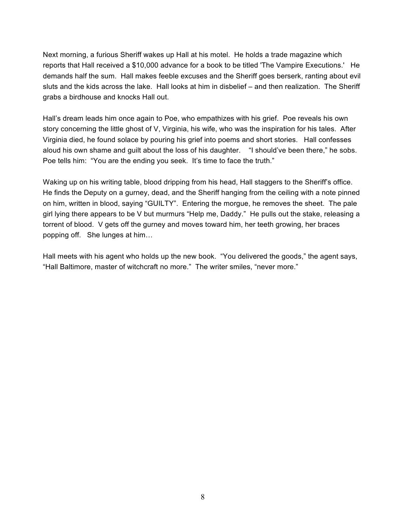Next morning, a furious Sheriff wakes up Hall at his motel. He holds a trade magazine which reports that Hall received a \$10,000 advance for a book to be titled 'The Vampire Executions.' He demands half the sum. Hall makes feeble excuses and the Sheriff goes berserk, ranting about evil sluts and the kids across the lake. Hall looks at him in disbelief – and then realization. The Sheriff grabs a birdhouse and knocks Hall out.

Hall's dream leads him once again to Poe, who empathizes with his grief. Poe reveals his own story concerning the little ghost of V, Virginia, his wife, who was the inspiration for his tales. After Virginia died, he found solace by pouring his grief into poems and short stories. Hall confesses aloud his own shame and guilt about the loss of his daughter. "I should've been there," he sobs. Poe tells him: "You are the ending you seek. It's time to face the truth."

Waking up on his writing table, blood dripping from his head, Hall staggers to the Sheriff's office. He finds the Deputy on a gurney, dead, and the Sheriff hanging from the ceiling with a note pinned on him, written in blood, saying "GUILTY". Entering the morgue, he removes the sheet. The pale girl lying there appears to be V but murmurs "Help me, Daddy." He pulls out the stake, releasing a torrent of blood. V gets off the gurney and moves toward him, her teeth growing, her braces popping off. She lunges at him…

Hall meets with his agent who holds up the new book. "You delivered the goods," the agent says, "Hall Baltimore, master of witchcraft no more." The writer smiles, "never more."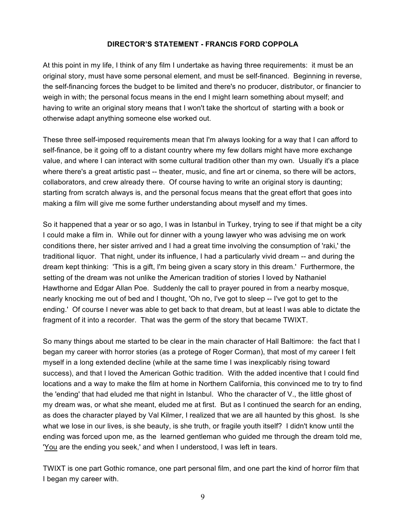#### **DIRECTOR'S STATEMENT - FRANCIS FORD COPPOLA**

At this point in my life, I think of any film I undertake as having three requirements: it must be an original story, must have some personal element, and must be self-financed. Beginning in reverse, the self-financing forces the budget to be limited and there's no producer, distributor, or financier to weigh in with; the personal focus means in the end I might learn something about myself; and having to write an original story means that I won't take the shortcut of starting with a book or otherwise adapt anything someone else worked out.

These three self-imposed requirements mean that I'm always looking for a way that I can afford to self-finance, be it going off to a distant country where my few dollars might have more exchange value, and where I can interact with some cultural tradition other than my own. Usually it's a place where there's a great artistic past -- theater, music, and fine art or cinema, so there will be actors, collaborators, and crew already there. Of course having to write an original story is daunting; starting from scratch always is, and the personal focus means that the great effort that goes into making a film will give me some further understanding about myself and my times.

So it happened that a year or so ago, I was in Istanbul in Turkey, trying to see if that might be a city I could make a film in. While out for dinner with a young lawyer who was advising me on work conditions there, her sister arrived and I had a great time involving the consumption of 'raki,' the traditional liquor. That night, under its influence, I had a particularly vivid dream -- and during the dream kept thinking: 'This is a gift, I'm being given a scary story in this dream.' Furthermore, the setting of the dream was not unlike the American tradition of stories I loved by Nathaniel Hawthorne and Edgar Allan Poe. Suddenly the call to prayer poured in from a nearby mosque, nearly knocking me out of bed and I thought, 'Oh no, I've got to sleep -- I've got to get to the ending.' Of course I never was able to get back to that dream, but at least I was able to dictate the fragment of it into a recorder. That was the germ of the story that became TWIXT.

So many things about me started to be clear in the main character of Hall Baltimore: the fact that I began my career with horror stories (as a protege of Roger Corman), that most of my career I felt myself in a long extended decline (while at the same time I was inexplicably rising toward success), and that I loved the American Gothic tradition. With the added incentive that I could find locations and a way to make the film at home in Northern California, this convinced me to try to find the 'ending' that had eluded me that night in Istanbul. Who the character of V., the little ghost of my dream was, or what she meant, eluded me at first. But as I continued the search for an ending, as does the character played by Val Kilmer, I realized that we are all haunted by this ghost. Is she what we lose in our lives, is she beauty, is she truth, or fragile youth itself? I didn't know until the ending was forced upon me, as the learned gentleman who guided me through the dream told me, 'You are the ending you seek,' and when I understood, I was left in tears.

TWIXT is one part Gothic romance, one part personal film, and one part the kind of horror film that I began my career with.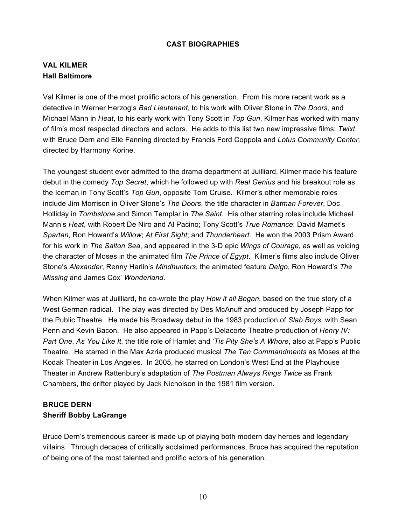#### **CAST BIOGRAPHIES**

### **VAL KILMER Hall Baltimore**

Val Kilmer is one of the most prolific actors of his generation. From his more recent work as a detective in Werner Herzog's *Bad Lieutenant*, to his work with Oliver Stone in *The Doors,* and Michael Mann in *Heat*, to his early work with Tony Scott in *Top Gun*, Kilmer has worked with many of film's most respected directors and actors. He adds to this list two new impressive films: *Twixt*, with Bruce Dern and Elle Fanning directed by Francis Ford Coppola and *Lotus Community Center,* directed by Harmony Korine.

The youngest student ever admitted to the drama department at Juilliard, Kilmer made his feature debut in the comedy *Top Secret*, which he followed up with *Real Genius* and his breakout role as the Iceman in Tony Scott's *Top Gun*, opposite Tom Cruise. Kilmer's other memorable roles include Jim Morrison in Oliver Stone's *The Doors*, the title character in *Batman Forever*, Doc Holliday in *Tombstone* and Simon Templar in *The Saint*. His other starring roles include Michael Mann's *Heat*, with Robert De Niro and Al Pacino; Tony Scott's *True Romance*; David Mamet's *Spartan*, Ron Howard's *Willow*; *At First Sight*; and *Thunderheart*. He won the 2003 Prism Award for his work in *The Salton Sea*, and appeared in the 3-D epic *Wings of Courage*, as well as voicing the character of Moses in the animated film *The Prince of Egypt*. Kilmer's films also include Oliver Stone's *Alexander*, Renny Harlin's *Mindhunters*, the animated feature *Delgo*, Ron Howard's *The Missing* and James Cox' *Wonderland*.

When Kilmer was at Juilliard, he co-wrote the play *How it all Began*, based on the true story of a West German radical. The play was directed by Des McAnuff and produced by Joseph Papp for the Public Theatre. He made his Broadway debut in the 1983 production of *Slab Boys*, with Sean Penn and Kevin Bacon. He also appeared in Papp's Delacorte Theatre production of *Henry IV: Part One*, *As You Like It*, the title role of Hamlet and *'Tis Pity She's A Whore*, also at Papp's Public Theatre. He starred in the Max Azria produced musical *The Ten Commandments* as Moses at the Kodak Theater in Los Angeles. In 2005, he starred on London's West End at the Playhouse Theater in Andrew Rattenbury's adaptation of *The Postman Always Rings Twice* as Frank Chambers, the drifter played by Jack Nicholson in the 1981 film version.

### **BRUCE DERN Sheriff Bobby LaGrange**

Bruce Dern's tremendous career is made up of playing both modern day heroes and legendary villains. Through decades of critically acclaimed performances, Bruce has acquired the reputation of being one of the most talented and prolific actors of his generation.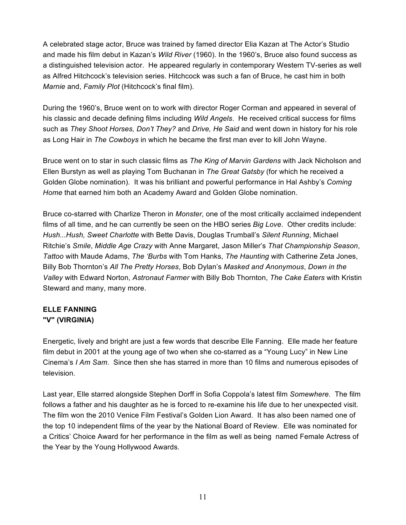A celebrated stage actor, Bruce was trained by famed director Elia Kazan at The Actor's Studio and made his film debut in Kazan's *Wild River* (1960). In the 1960's, Bruce also found success as a distinguished television actor. He appeared regularly in contemporary Western TV-series as well as Alfred Hitchcock's television series. Hitchcock was such a fan of Bruce, he cast him in both *Marnie* and, *Family Plot* (Hitchcock's final film).

During the 1960's, Bruce went on to work with director Roger Corman and appeared in several of his classic and decade defining films including *Wild Angels*. He received critical success for films such as *They Shoot Horses, Don't They?* and *Drive, He Said* and went down in history for his role as Long Hair in *The Cowboys* in which he became the first man ever to kill John Wayne.

Bruce went on to star in such classic films as *The King of Marvin Gardens* with Jack Nicholson and Ellen Burstyn as well as playing Tom Buchanan in *The Great Gatsby* (for which he received a Golden Globe nomination). It was his brilliant and powerful performance in Hal Ashby's *Coming Home* that earned him both an Academy Award and Golden Globe nomination.

Bruce co-starred with Charlize Theron in *Monster*, one of the most critically acclaimed independent films of all time, and he can currently be seen on the HBO series *Big Love*.Other credits include: *Hush...Hush, Sweet Charlotte* with Bette Davis, Douglas Trumball's *Silent Running*, Michael Ritchie's *Smile*, *Middle Age Crazy* with Anne Margaret, Jason Miller's *That Championship Season*, *Tattoo* with Maude Adams, *The 'Burbs* with Tom Hanks, *The Haunting* with Catherine Zeta Jones, Billy Bob Thornton's *All The Pretty Horses*, Bob Dylan's *Masked and Anonymous*, *Down in the Valley* with Edward Norton, *Astronaut Farmer* with Billy Bob Thornton, *The Cake Eaters* with Kristin Steward and many, many more.

### **ELLE FANNING "V" (VIRGINIA)**

Energetic, lively and bright are just a few words that describe Elle Fanning. Elle made her feature film debut in 2001 at the young age of two when she co-starred as a "Young Lucy" in New Line Cinema's *I Am Sam*. Since then she has starred in more than 10 films and numerous episodes of television.

Last year, Elle starred alongside Stephen Dorff in Sofia Coppola's latest film *Somewhere*. The film follows a father and his daughter as he is forced to re-examine his life due to her unexpected visit. The film won the 2010 Venice Film Festival's Golden Lion Award. It has also been named one of the top 10 independent films of the year by the National Board of Review. Elle was nominated for a Critics' Choice Award for her performance in the film as well as being named Female Actress of the Year by the Young Hollywood Awards.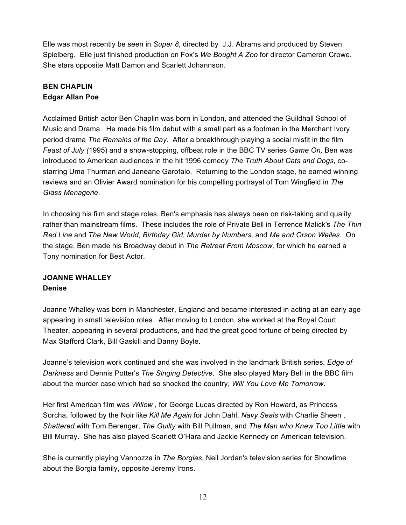Elle was most recently be seen in *Super 8*, directed by J.J. Abrams and produced by Steven Spielberg. Elle just finished production on Fox's *We Bought A Zoo* for director Cameron Crowe. She stars opposite Matt Damon and Scarlett Johannson.

### **BEN CHAPLIN Edgar Allan Poe**

Acclaimed British actor Ben Chaplin was born in London, and attended the Guildhall School of Music and Drama. He made his film debut with a small part as a footman in the Merchant Ivory period drama *The Remains of the Day*. After a breakthrough playing a social misfit in the film *Feast of July (*1995) and a show-stopping, offbeat role in the BBC TV series *Game On,* Ben was introduced to American audiences in the hit 1996 comedy *The Truth About Cats and Dogs*, costarring Uma Thurman and Janeane Garofalo. Returning to the London stage, he earned winning reviews and an Olivier Award nomination for his compelling portrayal of Tom Wingfield in *The Glass Menagerie*.

In choosing his film and stage roles, Ben's emphasis has always been on risk-taking and quality rather than mainstream films. These includes the role of Private Bell in Terrence Malick's *The Thin Red Line* and *The New World, Birthday Girl*, *Murder by Numbers,* and *Me and Orson Welles*. On the stage, Ben made his Broadway debut in *The Retreat From Moscow,* for which he earned a Tony nomination for Best Actor.

### **JOANNE WHALLEY Denise**

Joanne Whalley was born in Manchester, England and became interested in acting at an early age appearing in small television roles. After moving to London, she worked at the Royal Court Theater, appearing in several productions, and had the great good fortune of being directed by Max Stafford Clark, Bill Gaskill and Danny Boyle.

Joanne's television work continued and she was involved in the landmark British series, *Edge of Darkness* and Dennis Potter's *The Singing Detective*. She also played Mary Bell in the BBC film about the murder case which had so shocked the country, *Will You Love Me Tomorrow*.

Her first American film was *Willow* , for George Lucas directed by Ron Howard, as Princess Sorcha, followed by the Noir like *Kill Me Again* for John Dahl, *Navy Seals* with Charlie Sheen , *Shattered* with Tom Berenger, *The Guilty* with Bill Pullman, and *The Man who Knew Too Little* with Bill Murray.She has also played Scarlett O'Hara and Jackie Kennedy on American television.

She is currently playing Vannozza in *The Borgias*, Neil Jordan's television series for Showtime about the Borgia family, opposite Jeremy Irons.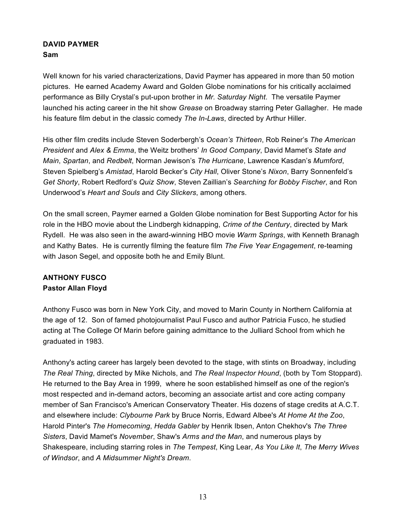#### **DAVID PAYMER Sam**

Well known for his varied characterizations, David Paymer has appeared in more than 50 motion pictures. He earned Academy Award and Golden Globe nominations for his critically acclaimed performance as Billy Crystal's put-upon brother in *Mr. Saturday Night*. The versatile Paymer launched his acting career in the hit show *Grease* on Broadway starring Peter Gallagher. He made his feature film debut in the classic comedy *The In-Laws*, directed by Arthur Hiller.

His other film credits include Steven Soderbergh's *Ocean's Thirteen*, Rob Reiner's *The American President* and *Alex & Emma*, the Weitz brothers' *In Good Company*, David Mamet's *State and Main*, *Spartan*, and *Redbelt*, Norman Jewison's *The Hurricane*, Lawrence Kasdan's *Mumford*, Steven Spielberg's *Amistad*, Harold Becker's *City Hall*, Oliver Stone's *Nixon*, Barry Sonnenfeld's *Get Shorty*, Robert Redford's *Quiz Show*, Steven Zaillian's *Searching for Bobby Fischer*, and Ron Underwood's *Heart and Souls* and *City Slickers*, among others.

On the small screen, Paymer earned a Golden Globe nomination for Best Supporting Actor for his role in the HBO movie about the Lindbergh kidnapping, *Crime of the Century*, directed by Mark Rydell. He was also seen in the award-winning HBO movie *Warm Springs*, with Kenneth Branagh and Kathy Bates. He is currently filming the feature film *The Five Year Engagement*, re-teaming with Jason Segel, and opposite both he and Emily Blunt.

### **ANTHONY FUSCO Pastor Allan Floyd**

Anthony Fusco was born in New York City, and moved to Marin County in Northern California at the age of 12. Son of famed photojournalist Paul Fusco and author Patricia Fusco, he studied acting at The College Of Marin before gaining admittance to the Julliard School from which he graduated in 1983.

Anthony's acting career has largely been devoted to the stage, with stints on Broadway, including *The Real Thing*, directed by Mike Nichols, and *The Real Inspector Hound*, (both by Tom Stoppard). He returned to the Bay Area in 1999, where he soon established himself as one of the region's most respected and in-demand actors, becoming an associate artist and core acting company member of San Francisco's American Conservatory Theater. His dozens of stage credits at A.C.T. and elsewhere include: *Clybourne Park* by Bruce Norris, Edward Albee's *At Home At the Zoo*, Harold Pinter's *The Homecoming*, *Hedda Gabler* by Henrik Ibsen, Anton Chekhov's *The Three Sisters*, David Mamet's *November*, Shaw's *Arms and the Man*, and numerous plays by Shakespeare, including starring roles in *The Tempest*, King Lear, *As You Like It*, *The Merry Wives of Windsor*, and *A Midsummer Night's Dream*.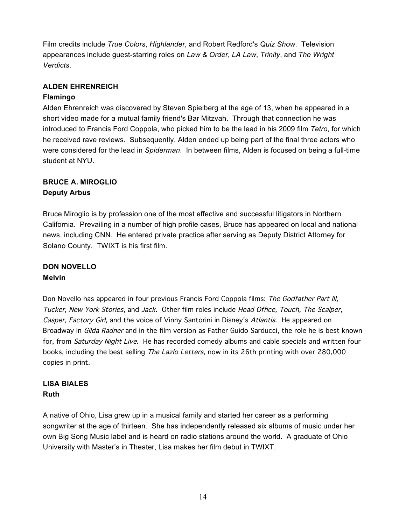Film credits include *True Colors*, *Highlander*, and Robert Redford's *Quiz Show*. Television appearances include guest-starring roles on *Law & Order*, *LA Law*, *Trinity*, and *The Wright Verdicts*.

#### **ALDEN EHRENREICH**

### **Flamingo**

Alden Ehrenreich was discovered by Steven Spielberg at the age of 13, when he appeared in a short video made for a mutual family friend's Bar Mitzvah. Through that connection he was introduced to Francis Ford Coppola, who picked him to be the lead in his 2009 film *Tetro*, for which he received rave reviews. Subsequently, Alden ended up being part of the final three actors who were considered for the lead in *Spiderman*. In between films, Alden is focused on being a full-time student at NYU.

# **BRUCE A. MIROGLIO**

### **Deputy Arbus**

Bruce Miroglio is by profession one of the most effective and successful litigators in Northern California. Prevailing in a number of high profile cases, Bruce has appeared on local and national news, including CNN. He entered private practice after serving as Deputy District Attorney for Solano County. TWIXT is his first film.

### **DON NOVELLO Melvin**

Don Novello has appeared in four previous Francis Ford Coppola films: The Godfather Part III, Tucker, New York Stories, and Jack. Other film roles include Head Office, Touch, The Scalper, Casper, Factory Girl, and the voice of Vinny Santorini in Disney's Atlantis. He appeared on Broadway in Gilda Radner and in the film version as Father Guido Sarducci, the role he is best known for, from Saturday Night Live. He has recorded comedy albums and cable specials and written four books, including the best selling The Lazlo Letters, now in its 26th printing with over 280,000 copies in print.

### **LISA BIALES Ruth**

A native of Ohio, Lisa grew up in a musical family and started her career as a performing songwriter at the age of thirteen. She has independently released six albums of music under her own Big Song Music label and is heard on radio stations around the world. A graduate of Ohio University with Master's in Theater, Lisa makes her film debut in TWIXT.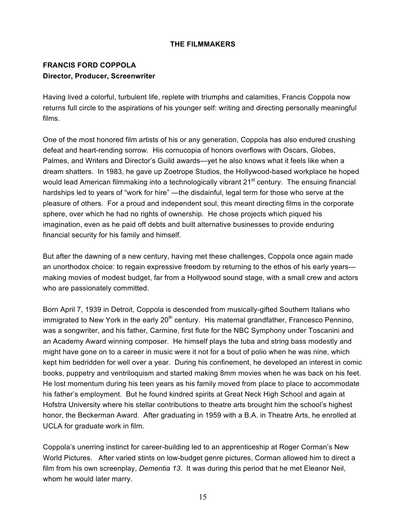#### **THE FILMMAKERS**

### **FRANCIS FORD COPPOLA Director, Producer, Screenwriter**

Having lived a colorful, turbulent life, replete with triumphs and calamities, Francis Coppola now returns full circle to the aspirations of his younger self: writing and directing personally meaningful films.

One of the most honored film artists of his or any generation, Coppola has also endured crushing defeat and heart-rending sorrow. His cornucopia of honors overflows with Oscars, Globes, Palmes, and Writers and Director's Guild awards—yet he also knows what it feels like when a dream shatters. In 1983, he gave up Zoetrope Studios, the Hollywood-based workplace he hoped would lead American filmmaking into a technologically vibrant  $21<sup>st</sup>$  century. The ensuing financial hardships led to years of "work for hire" —the disdainful, legal term for those who serve at the pleasure of others. For a proud and independent soul, this meant directing films in the corporate sphere, over which he had no rights of ownership. He chose projects which piqued his imagination, even as he paid off debts and built alternative businesses to provide enduring financial security for his family and himself.

But after the dawning of a new century, having met these challenges, Coppola once again made an unorthodox choice: to regain expressive freedom by returning to the ethos of his early years making movies of modest budget, far from a Hollywood sound stage, with a small crew and actors who are passionately committed.

Born April 7, 1939 in Detroit, Coppola is descended from musically-gifted Southern Italians who immigrated to New York in the early  $20<sup>th</sup>$  century. His maternal grandfather, Francesco Pennino, was a songwriter, and his father, Carmine, first flute for the NBC Symphony under Toscanini and an Academy Award winning composer. He himself plays the tuba and string bass modestly and might have gone on to a career in music were it not for a bout of polio when he was nine, which kept him bedridden for well over a year. During his confinement, he developed an interest in comic books, puppetry and ventriloquism and started making 8mm movies when he was back on his feet. He lost momentum during his teen years as his family moved from place to place to accommodate his father's employment. But he found kindred spirits at Great Neck High School and again at Hofstra University where his stellar contributions to theatre arts brought him the school's highest honor, the Beckerman Award. After graduating in 1959 with a B.A. in Theatre Arts, he enrolled at UCLA for graduate work in film.

Coppola's unerring instinct for career-building led to an apprenticeship at Roger Corman's New World Pictures. After varied stints on low-budget genre pictures, Corman allowed him to direct a film from his own screenplay, *Dementia 13.* It was during this period that he met Eleanor Neil, whom he would later marry.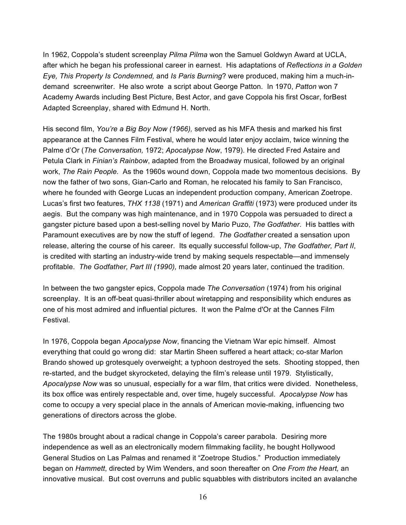In 1962, Coppola's student screenplay *Pilma Pilma* won the Samuel Goldwyn Award at UCLA, after which he began his professional career in earnest. His adaptations of *Reflections in a Golden Eye, This Property Is Condemned,* and *Is Paris Burning*? were produced, making him a much-indemand screenwriter. He also wrote a script about George Patton. In 1970, *Patton* won 7 Academy Awards including Best Picture, Best Actor, and gave Coppola his first Oscar, forBest Adapted Screenplay, shared with Edmund H. North.

His second film, *You're a Big Boy Now (1966),* served as his MFA thesis and marked his first appearance at the Cannes Film Festival, where he would later enjoy acclaim, twice winning the Palme d'Or (*The Conversation,* 1972; *Apocalypse Now*, 1979). He directed Fred Astaire and Petula Clark in *Finian's Rainbow*, adapted from the Broadway musical, followed by an original work, *The Rain People.* As the 1960s wound down, Coppola made two momentous decisions. By now the father of two sons, Gian-Carlo and Roman, he relocated his family to San Francisco, where he founded with George Lucas an independent production company, American Zoetrope. Lucas's first two features, *THX 1138* (1971) and *American Graffiti* (1973) were produced under its aegis. But the company was high maintenance, and in 1970 Coppola was persuaded to direct a gangster picture based upon a best-selling novel by Mario Puzo, *The Godfather*. His battles with Paramount executives are by now the stuff of legend. *The Godfather* created a sensation upon release, altering the course of his career. Its equally successful follow-up, *The Godfather, Part II*, is credited with starting an industry-wide trend by making sequels respectable—and immensely profitable. *The Godfather, Part III (1990),* made almost 20 years later, continued the tradition.

In between the two gangster epics, Coppola made *The Conversation* (1974) from his original screenplay. It is an off-beat quasi-thriller about wiretapping and responsibility which endures as one of his most admired and influential pictures. It won the Palme d'Or at the Cannes Film Festival.

In 1976, Coppola began *Apocalypse Now*, financing the Vietnam War epic himself. Almost everything that could go wrong did: star Martin Sheen suffered a heart attack; co-star Marlon Brando showed up grotesquely overweight; a typhoon destroyed the sets. Shooting stopped, then re-started, and the budget skyrocketed, delaying the film's release until 1979. Stylistically, *Apocalypse Now* was so unusual, especially for a war film, that critics were divided. Nonetheless, its box office was entirely respectable and, over time, hugely successful. *Apocalypse Now* has come to occupy a very special place in the annals of American movie-making, influencing two generations of directors across the globe.

The 1980s brought about a radical change in Coppola's career parabola. Desiring more independence as well as an electronically modern filmmaking facility, he bought Hollywood General Studios on Las Palmas and renamed it "Zoetrope Studios." Production immediately began on *Hammett*, directed by Wim Wenders, and soon thereafter on *One From the Heart,* an innovative musical. But cost overruns and public squabbles with distributors incited an avalanche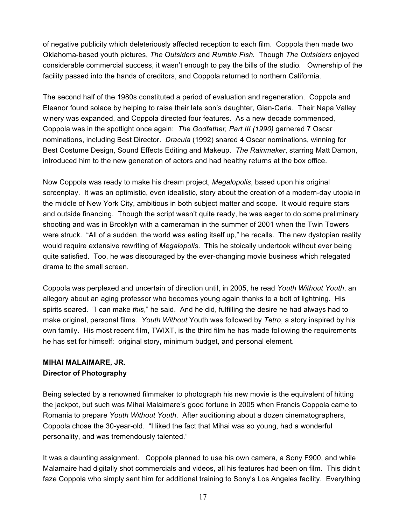of negative publicity which deleteriously affected reception to each film. Coppola then made two Oklahoma-based youth pictures, *The Outsiders* and *Rumble Fish.* Though *The Outsiders* enjoyed considerable commercial success, it wasn't enough to pay the bills of the studio*.* Ownership of the facility passed into the hands of creditors, and Coppola returned to northern California.

The second half of the 1980s constituted a period of evaluation and regeneration. Coppola and Eleanor found solace by helping to raise their late son's daughter, Gian-Carla. Their Napa Valley winery was expanded, and Coppola directed four features. As a new decade commenced, Coppola was in the spotlight once again: *The Godfather, Part III (1990)* garnered 7 Oscar nominations, including Best Director. *Dracula* (1992) snared 4 Oscar nominations, winning for Best Costume Design, Sound Effects Editing and Makeup. *The Rainmaker*, starring Matt Damon, introduced him to the new generation of actors and had healthy returns at the box office.

Now Coppola was ready to make his dream project, *Megalopolis*, based upon his original screenplay. It was an optimistic, even idealistic, story about the creation of a modern-day utopia in the middle of New York City, ambitious in both subject matter and scope. It would require stars and outside financing. Though the script wasn't quite ready, he was eager to do some preliminary shooting and was in Brooklyn with a cameraman in the summer of 2001 when the Twin Towers were struck. "All of a sudden, the world was eating itself up," he recalls. The new dystopian reality would require extensive rewriting of *Megalopolis*. This he stoically undertook without ever being quite satisfied. Too, he was discouraged by the ever-changing movie business which relegated drama to the small screen.

Coppola was perplexed and uncertain of direction until, in 2005, he read *Youth Without Youth*, an allegory about an aging professor who becomes young again thanks to a bolt of lightning. His spirits soared. "I can make *this*," he said. And he did, fulfilling the desire he had always had to make original, personal films. *Youth Without* Youth was followed by *Tetro*, a story inspired by his own family. His most recent film, TWIXT, is the third film he has made following the requirements he has set for himself: original story, minimum budget, and personal element.

### **MIHAI MALAIMARE, JR. Director of Photography**

Being selected by a renowned filmmaker to photograph his new movie is the equivalent of hitting the jackpot, but such was Mihai Malaimare's good fortune in 2005 when Francis Coppola came to Romania to prepare *Youth Without Youth*. After auditioning about a dozen cinematographers, Coppola chose the 30-year-old. "I liked the fact that Mihai was so young, had a wonderful personality, and was tremendously talented."

It was a daunting assignment. Coppola planned to use his own camera, a Sony F900, and while Malamaire had digitally shot commercials and videos, all his features had been on film. This didn't faze Coppola who simply sent him for additional training to Sony's Los Angeles facility. Everything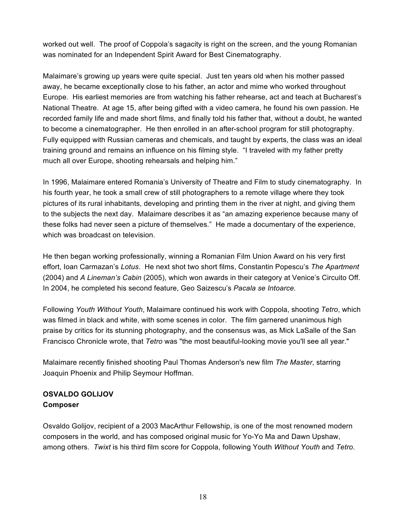worked out well. The proof of Coppola's sagacity is right on the screen, and the young Romanian was nominated for an Independent Spirit Award for Best Cinematography.

Malaimare's growing up years were quite special. Just ten years old when his mother passed away, he became exceptionally close to his father, an actor and mime who worked throughout Europe. His earliest memories are from watching his father rehearse, act and teach at Bucharest's National Theatre. At age 15, after being gifted with a video camera, he found his own passion. He recorded family life and made short films, and finally told his father that, without a doubt, he wanted to become a cinematographer. He then enrolled in an after-school program for still photography. Fully equipped with Russian cameras and chemicals, and taught by experts, the class was an ideal training ground and remains an influence on his filming style. "I traveled with my father pretty much all over Europe, shooting rehearsals and helping him."

In 1996, Malaimare entered Romania's University of Theatre and Film to study cinematography. In his fourth year, he took a small crew of still photographers to a remote village where they took pictures of its rural inhabitants, developing and printing them in the river at night, and giving them to the subjects the next day. Malaimare describes it as "an amazing experience because many of these folks had never seen a picture of themselves." He made a documentary of the experience, which was broadcast on television.

He then began working professionally, winning a Romanian Film Union Award on his very first effort, Ioan Carmazan's *Lotus*. He next shot two short films, Constantin Popescu's *The Apartment* (2004) and *A Lineman's Cabin* (2005), which won awards in their category at Venice's Circuito Off. In 2004, he completed his second feature, Geo Saizescu's *Pacala se Intoarce.* 

Following *Youth Without Youth*, Malaimare continued his work with Coppola, shooting *Tetro*, which was filmed in black and white, with some scenes in color. The film garnered unanimous high praise by critics for its stunning photography, and the consensus was, as Mick LaSalle of the San Francisco Chronicle wrote, that *Tetro* was "the most beautiful-looking movie you'll see all year."

Malaimare recently finished shooting Paul Thomas Anderson's new film *The Master*, starring Joaquin Phoenix and Philip Seymour Hoffman.

### **OSVALDO GOLIJOV Composer**

Osvaldo Golijov, recipient of a 2003 MacArthur Fellowship, is one of the most renowned modern composers in the world, and has composed original music for Yo-Yo Ma and Dawn Upshaw, among others. *Twixt* is his third film score for Coppola, following Youth *Without Youth* and *Tetro*.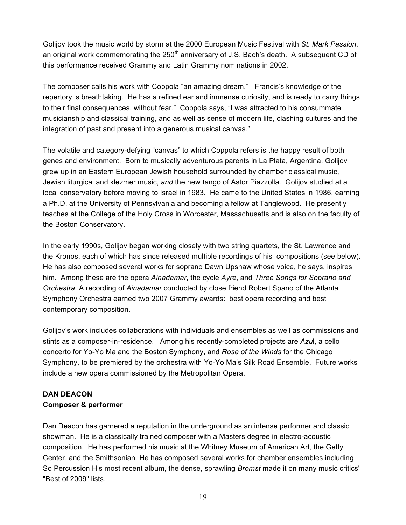Golijov took the music world by storm at the 2000 European Music Festival with *St. Mark Passion*, an original work commemorating the  $250<sup>th</sup>$  anniversary of J.S. Bach's death. A subsequent CD of this performance received Grammy and Latin Grammy nominations in 2002.

The composer calls his work with Coppola "an amazing dream." "Francis's knowledge of the repertory is breathtaking. He has a refined ear and immense curiosity, and is ready to carry things to their final consequences, without fear." Coppola says, "I was attracted to his consummate musicianship and classical training, and as well as sense of modern life, clashing cultures and the integration of past and present into a generous musical canvas."

The volatile and category-defying "canvas" to which Coppola refers is the happy result of both genes and environment. Born to musically adventurous parents in La Plata, Argentina, Golijov grew up in an Eastern European Jewish household surrounded by chamber classical music, Jewish liturgical and klezmer music, *and* the new tango of Astor Piazzolla. Golijov studied at a local conservatory before moving to Israel in 1983. He came to the United States in 1986, earning a Ph.D. at the University of Pennsylvania and becoming a fellow at Tanglewood. He presently teaches at the College of the Holy Cross in Worcester, Massachusetts and is also on the faculty of the Boston Conservatory.

In the early 1990s, Golijov began working closely with two string quartets, the St. Lawrence and the Kronos, each of which has since released multiple recordings of his compositions (see below). He has also composed several works for soprano Dawn Upshaw whose voice, he says, inspires him. Among these are the opera *Ainadamar*, the cycle *Ayre*, and *Three Songs for Soprano and Orchestra*. A recording of *Ainadamar* conducted by close friend Robert Spano of the Atlanta Symphony Orchestra earned two 2007 Grammy awards: best opera recording and best contemporary composition.

Golijov's work includes collaborations with individuals and ensembles as well as commissions and stints as a composer-in-residence. Among his recently-completed projects are *Azu*l, a cello concerto for Yo-Yo Ma and the Boston Symphony, and *Rose of the Winds* for the Chicago Symphony, to be premiered by the orchestra with Yo-Yo Ma's Silk Road Ensemble. Future works include a new opera commissioned by the Metropolitan Opera.

### **DAN DEACON Composer & performer**

Dan Deacon has garnered a reputation in the underground as an intense performer and classic showman. He is a classically trained composer with a Masters degree in electro-acoustic composition. He has performed his music at the Whitney Museum of American Art, the Getty Center, and the Smithsonian. He has composed several works for chamber ensembles including So Percussion His most recent album, the dense, sprawling *Bromst* made it on many music critics' "Best of 2009" lists.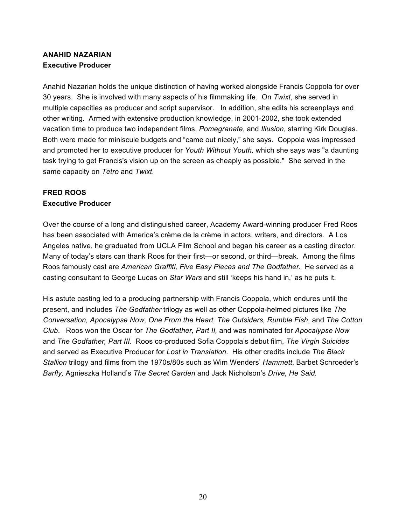### **ANAHID NAZARIAN Executive Producer**

Anahid Nazarian holds the unique distinction of having worked alongside Francis Coppola for over 30 years. She is involved with many aspects of his filmmaking life. On *Twixt*, she served in multiple capacities as producer and script supervisor. In addition, she edits his screenplays and other writing. Armed with extensive production knowledge, in 2001-2002, she took extended vacation time to produce two independent films, *Pomegranate*, and *Illusion*, starring Kirk Douglas. Both were made for miniscule budgets and "came out nicely," she says. Coppola was impressed and promoted her to executive producer for *Youth Without Youth,* which she says was "a daunting task trying to get Francis's vision up on the screen as cheaply as possible." She served in the same capacity on *Tetro* and *Twixt*.

### **FRED ROOS Executive Producer**

Over the course of a long and distinguished career, Academy Award-winning producer Fred Roos has been associated with America's crème de la crème in actors, writers, and directors. A Los Angeles native, he graduated from UCLA Film School and began his career as a casting director. Many of today's stars can thank Roos for their first—or second, or third—break. Among the films Roos famously cast are *American Graffiti, Five Easy Pieces and The Godfather.* He served as a casting consultant to George Lucas on *Star Wars* and still 'keeps his hand in,' as he puts it.

His astute casting led to a producing partnership with Francis Coppola, which endures until the present, and includes *The Godfather* trilogy as well as other Coppola-helmed pictures like *The Conversation, Apocalypse Now, One From the Heart, The Outsiders, Rumble Fish,* and *The Cotton Club*. Roos won the Oscar for *The Godfather, Part II,* and was nominated for *Apocalypse Now*  and *The Godfather, Part III*. Roos co-produced Sofia Coppola's debut film, *The Virgin Suicides* and served as Executive Producer for *Lost in Translation*. His other credits include *The Black Stallion* trilogy and films from the 1970s/80s such as Wim Wenders' *Hammett*, Barbet Schroeder's *Barfly,* Agnieszka Holland's *The Secret Garden* and Jack Nicholson's *Drive, He Said.*